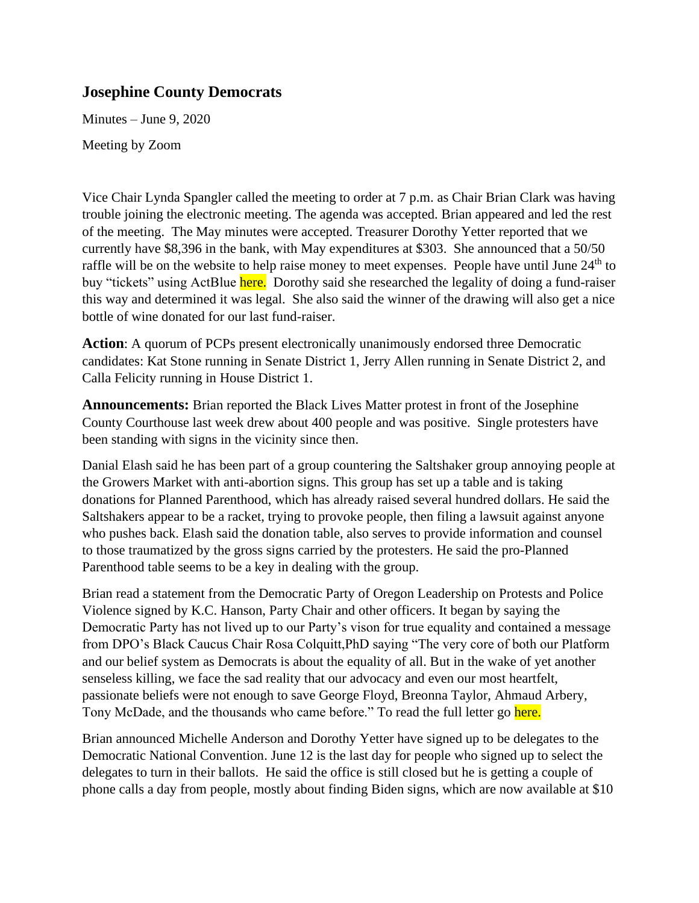## **Josephine County Democrats**

Minutes – June 9, 2020

Meeting by Zoom

Vice Chair Lynda Spangler called the meeting to order at 7 p.m. as Chair Brian Clark was having trouble joining the electronic meeting. The agenda was accepted. Brian appeared and led the rest of the meeting. The May minutes were accepted. Treasurer Dorothy Yetter reported that we currently have \$8,396 in the bank, with May expenditures at \$303. She announced that a 50/50 raffle will be on the website to help raise money to meet expenses. People have until June 24<sup>th</sup> to buy "tickets" using ActBlue here. Dorothy said she researched the legality of doing a fund-raiser this way and determined it was legal. She also said the winner of the drawing will also get a nice bottle of wine donated for our last fund-raiser.

**Action**: A quorum of PCPs present electronically unanimously endorsed three Democratic candidates: Kat Stone running in Senate District 1, Jerry Allen running in Senate District 2, and Calla Felicity running in House District 1.

**Announcements:** Brian reported the Black Lives Matter protest in front of the Josephine County Courthouse last week drew about 400 people and was positive. Single protesters have been standing with signs in the vicinity since then.

Danial Elash said he has been part of a group countering the Saltshaker group annoying people at the Growers Market with anti-abortion signs. This group has set up a table and is taking donations for Planned Parenthood, which has already raised several hundred dollars. He said the Saltshakers appear to be a racket, trying to provoke people, then filing a lawsuit against anyone who pushes back. Elash said the donation table, also serves to provide information and counsel to those traumatized by the gross signs carried by the protesters. He said the pro-Planned Parenthood table seems to be a key in dealing with the group.

Brian read a statement from the Democratic Party of Oregon Leadership on Protests and Police Violence signed by K.C. Hanson, Party Chair and other officers. It began by saying the Democratic Party has not lived up to our Party's vison for true equality and contained a message from DPO's Black Caucus Chair Rosa Colquitt,PhD saying "The very core of both our Platform and our belief system as Democrats is about the equality of all. But in the wake of yet another senseless killing, we face the sad reality that our advocacy and even our most heartfelt, passionate beliefs were not enough to save George Floyd, Breonna Taylor, Ahmaud Arbery, Tony McDade, and the thousands who came before." To read the full letter go here.

Brian announced Michelle Anderson and Dorothy Yetter have signed up to be delegates to the Democratic National Convention. June 12 is the last day for people who signed up to select the delegates to turn in their ballots. He said the office is still closed but he is getting a couple of phone calls a day from people, mostly about finding Biden signs, which are now available at \$10